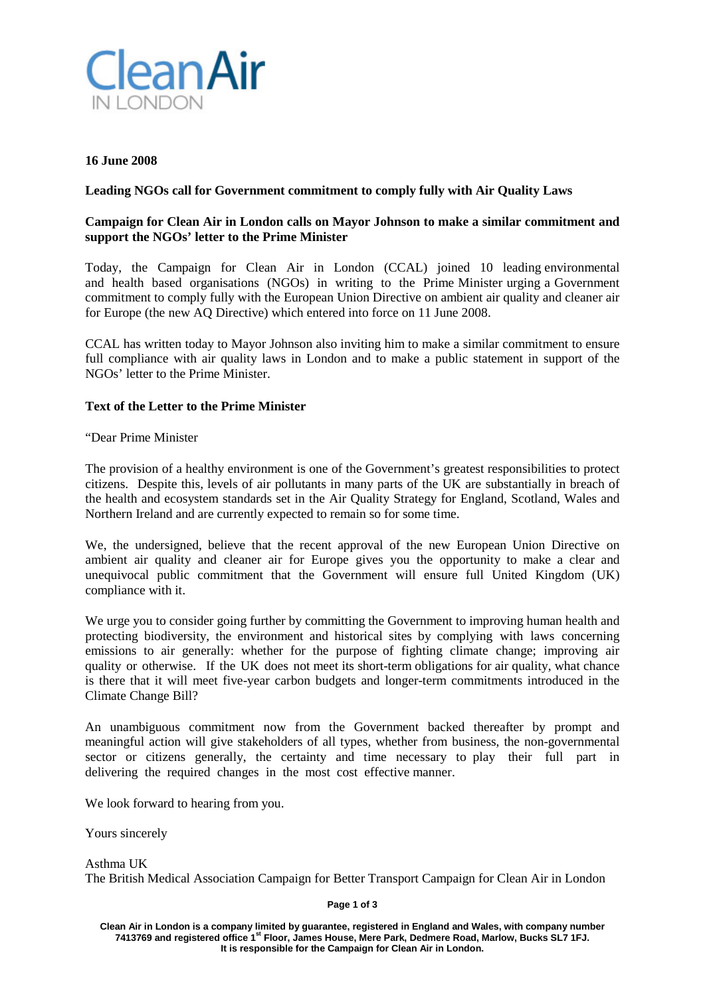

#### **16 June 2008**

### **Leading NGOs call for Government commitment to comply fully with Air Quality Laws**

## **Campaign for Clean Air in London calls on Mayor Johnson to make a similar commitment and support the NGOs' letter to the Prime Minister**

Today, the Campaign for Clean Air in London (CCAL) joined 10 leading environmental and health based organisations (NGOs) in writing to the Prime Minister urging a Government commitment to comply fully with the European Union Directive on ambient air quality and cleaner air for Europe (the new AQ Directive) which entered into force on 11 June 2008.

CCAL has written today to Mayor Johnson also inviting him to make a similar commitment to ensure full compliance with air quality laws in London and to make a public statement in support of the NGOs' letter to the Prime Minister.

### **Text of the Letter to the Prime Minister**

"Dear Prime Minister

The provision of a healthy environment is one of the Government's greatest responsibilities to protect citizens. Despite this, levels of air pollutants in many parts of the UK are substantially in breach of the health and ecosystem standards set in the Air Quality Strategy for England, Scotland, Wales and Northern Ireland and are currently expected to remain so for some time.

We, the undersigned, believe that the recent approval of the new European Union Directive on ambient air quality and cleaner air for Europe gives you the opportunity to make a clear and unequivocal public commitment that the Government will ensure full United Kingdom (UK) compliance with it.

We urge you to consider going further by committing the Government to improving human health and protecting biodiversity, the environment and historical sites by complying with laws concerning emissions to air generally: whether for the purpose of fighting climate change; improving air quality or otherwise. If the UK does not meet its short-term obligations for air quality, what chance is there that it will meet five-year carbon budgets and longer-term commitments introduced in the Climate Change Bill?

An unambiguous commitment now from the Government backed thereafter by prompt and meaningful action will give stakeholders of all types, whether from business, the non-governmental sector or citizens generally, the certainty and time necessary to play their full part in delivering the required changes in the most cost effective manner.

We look forward to hearing from you.

Yours sincerely

Asthma UK The British Medical Association Campaign for Better Transport Campaign for Clean Air in London

**Page 1 of 3**

**Clean Air in London is a company limited by guarantee, registered in England and Wales, with company number 7413769 and registered office 1st Floor, James House, Mere Park, Dedmere Road, Marlow, Bucks SL7 1FJ. It is responsible for the Campaign for Clean Air in London.**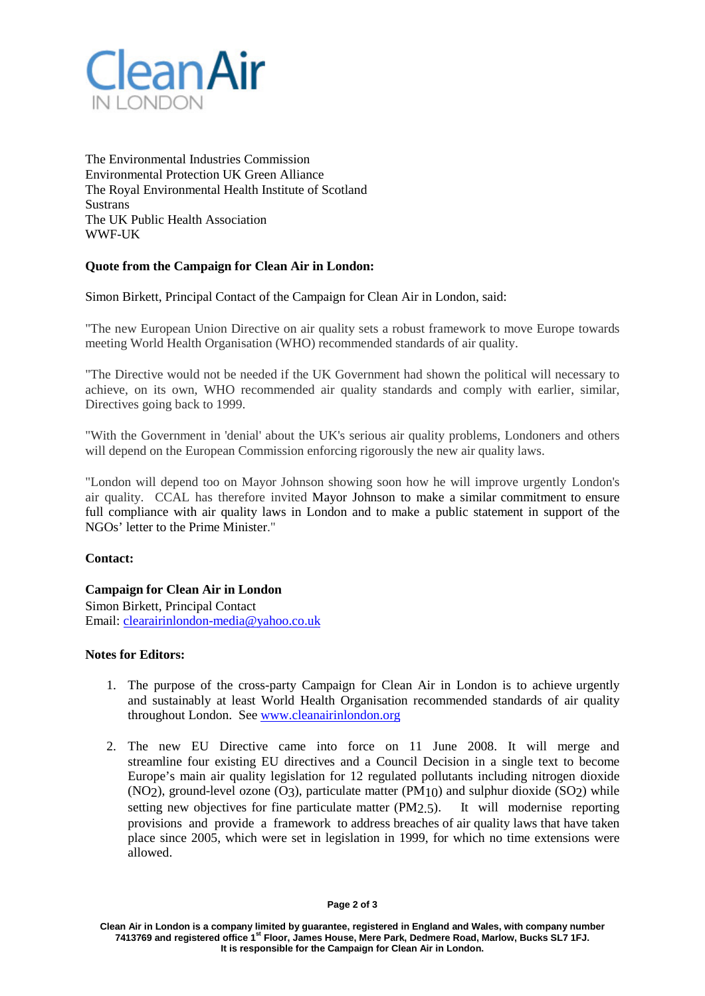

The Environmental Industries Commission Environmental Protection UK Green Alliance The Royal Environmental Health Institute of Scotland **Sustrans** The UK Public Health Association WWF-UK

# **Quote from the Campaign for Clean Air in London:**

Simon Birkett, Principal Contact of the Campaign for Clean Air in London, said:

"The new European Union Directive on air quality sets a robust framework to move Europe towards meeting World Health Organisation (WHO) recommended standards of air quality.

"The Directive would not be needed if the UK Government had shown the political will necessary to achieve, on its own, WHO recommended air quality standards and comply with earlier, similar, Directives going back to 1999.

"With the Government in 'denial' about the UK's serious air quality problems, Londoners and others will depend on the European Commission enforcing rigorously the new air quality laws.

"London will depend too on Mayor Johnson showing soon how he will improve urgently London's air quality. CCAL has therefore invited Mayor Johnson to make a similar commitment to ensure full compliance with air quality laws in London and to make a public statement in support of the NGOs' letter to the Prime Minister."

### **Contact:**

### **Campaign for Clean Air in London**

Simon Birkett, Principal Contact Email: [clearairinlondon-media@yahoo.co.uk](mailto:clearairinlondon-media@yahoo.co.uk)

### **Notes for Editors:**

- 1. The purpose of the cross-party Campaign for Clean Air in London is to achieve urgently and sustainably at least World Health Organisation recommended standards of air quality throughout London. See [www.cleanairinlondon.org](http://www.cleanairinlondon.org/)
- 2. The new EU Directive came into force on 11 June 2008. It will merge and streamline four existing EU directives and a Council Decision in a single text to become Europe's main air quality legislation for 12 regulated pollutants including nitrogen dioxide  $(NO<sub>2</sub>)$ , ground-level ozone  $(O<sub>3</sub>)$ , particulate matter  $(PM<sub>1</sub>(O))$  and sulphur dioxide  $(SO<sub>2</sub>)$  while setting new objectives for fine particulate matter (PM2.5). It will modernise reporting provisions and provide a framework to address breaches of air quality laws that have taken place since 2005, which were set in legislation in 1999, for which no time extensions were allowed.

**Clean Air in London is a company limited by guarantee, registered in England and Wales, with company number 7413769 and registered office 1st Floor, James House, Mere Park, Dedmere Road, Marlow, Bucks SL7 1FJ. It is responsible for the Campaign for Clean Air in London.**